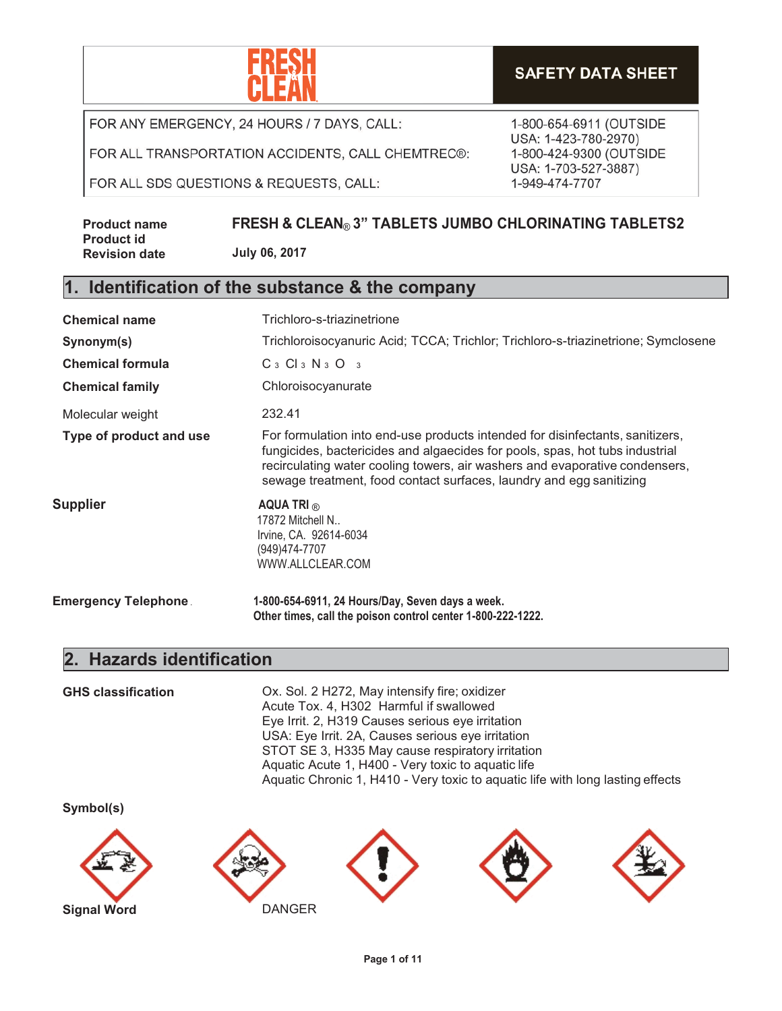

**SAFETY DATA SHEET** 

FOR ANY EMERGENCY, 24 HOURS / 7 DAYS, CALL:

FOR ALL TRANSPORTATION ACCIDENTS, CALL CHEMTREC®:

FOR ALL SDS QUESTIONS & REQUESTS, CALL:

1-800-654-6911 (OUTSIDE USA: 1-423-780-2970) 1-800-424-9300 (OUTSIDE USA: 1-703-527-3887) 1-949-474-7707

| <b>Product name</b>  | <b>FRESH &amp; CLEAN® 3" TABLETS JUMBO CHLORINATING TABLETS2</b> |
|----------------------|------------------------------------------------------------------|
| <b>Product id</b>    |                                                                  |
| <b>Revision date</b> | July 06, 2017                                                    |

#### **1. Identification of the substance & the company**

| <b>Chemical name</b>        | Trichloro-s-triazinetrione                                                                                                                                                                                                                                                                                          |
|-----------------------------|---------------------------------------------------------------------------------------------------------------------------------------------------------------------------------------------------------------------------------------------------------------------------------------------------------------------|
| Synonym(s)                  | Trichloroisocyanuric Acid; TCCA; Trichlor; Trichloro-s-triazinetrione; Symclosene                                                                                                                                                                                                                                   |
| <b>Chemical formula</b>     | $C_3$ $Cl_3$ $N_3$ $O_3$                                                                                                                                                                                                                                                                                            |
| <b>Chemical family</b>      | Chloroisocyanurate                                                                                                                                                                                                                                                                                                  |
| Molecular weight            | 232.41                                                                                                                                                                                                                                                                                                              |
| Type of product and use     | For formulation into end-use products intended for disinfectants, sanitizers,<br>fungicides, bactericides and algaecides for pools, spas, hot tubs industrial<br>recirculating water cooling towers, air washers and evaporative condensers,<br>sewage treatment, food contact surfaces, laundry and egg sanitizing |
| Supplier                    | AQUA TRI $_{\odot}$<br>17872 Mitchell N<br>Irvine, CA. 92614-6034<br>(949)474-7707<br>WWW.ALLCLEAR.COM                                                                                                                                                                                                              |
| <b>Emergency Telephone.</b> | 1-800-654-6911, 24 Hours/Day, Seven days a week.<br>Other times, call the poison control center 1-800-222-1222.                                                                                                                                                                                                     |

#### **2. Hazards identification**

**GHS classification** Ox. Sol. 2 H272, May intensify fire; oxidizer

Acute Tox. 4, H302 Harmful if swallowed Eye Irrit. 2, H319 Causes serious eye irritation USA: Eye Irrit. 2A, Causes serious eye irritation STOT SE 3, H335 May cause respiratory irritation Aquatic Acute 1, H400 - Very toxic to aquatic life Aquatic Chronic 1, H410 - Very toxic to aquatic life with long lasting effects

**Symbol(s)**









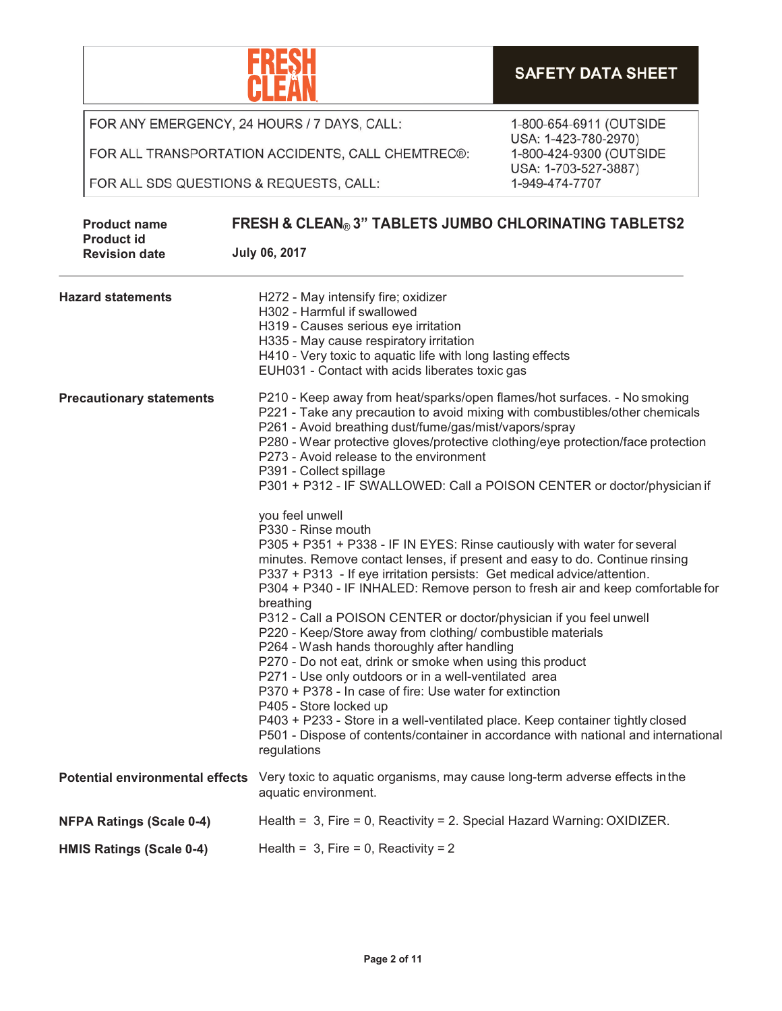**Page 2 of 11**



FOR ANY EMERGENCY, 24 HOURS / 7 DAYS, CALL:

FOR ALL TRANSPORTATION ACCIDENTS, CALL CHEMTREC®:

FOR ALL SDS QUESTIONS & REQUESTS, CALL:

| <b>Product name</b>                       | <b>FRESH &amp; CLEAN® 3" TABLETS JUMBO CHLORINATING TABLETS2</b>                                                                                                                                                                                                                                                                                                                                                                                                                                                                                                                                                                                                                                                                                                                                                                                                                                                                                               |  |  |
|-------------------------------------------|----------------------------------------------------------------------------------------------------------------------------------------------------------------------------------------------------------------------------------------------------------------------------------------------------------------------------------------------------------------------------------------------------------------------------------------------------------------------------------------------------------------------------------------------------------------------------------------------------------------------------------------------------------------------------------------------------------------------------------------------------------------------------------------------------------------------------------------------------------------------------------------------------------------------------------------------------------------|--|--|
| <b>Product id</b><br><b>Revision date</b> | <b>July 06, 2017</b>                                                                                                                                                                                                                                                                                                                                                                                                                                                                                                                                                                                                                                                                                                                                                                                                                                                                                                                                           |  |  |
| <b>Hazard statements</b>                  | H272 - May intensify fire; oxidizer<br>H302 - Harmful if swallowed<br>H319 - Causes serious eye irritation<br>H335 - May cause respiratory irritation<br>H410 - Very toxic to aquatic life with long lasting effects<br>EUH031 - Contact with acids liberates toxic gas                                                                                                                                                                                                                                                                                                                                                                                                                                                                                                                                                                                                                                                                                        |  |  |
| <b>Precautionary statements</b>           | P210 - Keep away from heat/sparks/open flames/hot surfaces. - No smoking<br>P221 - Take any precaution to avoid mixing with combustibles/other chemicals<br>P261 - Avoid breathing dust/fume/gas/mist/vapors/spray<br>P280 - Wear protective gloves/protective clothing/eye protection/face protection<br>P273 - Avoid release to the environment<br>P391 - Collect spillage<br>P301 + P312 - IF SWALLOWED: Call a POISON CENTER or doctor/physician if                                                                                                                                                                                                                                                                                                                                                                                                                                                                                                        |  |  |
|                                           | you feel unwell<br>P330 - Rinse mouth<br>P305 + P351 + P338 - IF IN EYES: Rinse cautiously with water for several<br>minutes. Remove contact lenses, if present and easy to do. Continue rinsing<br>P337 + P313 - If eye irritation persists: Get medical advice/attention.<br>P304 + P340 - IF INHALED: Remove person to fresh air and keep comfortable for<br>breathing<br>P312 - Call a POISON CENTER or doctor/physician if you feel unwell<br>P220 - Keep/Store away from clothing/ combustible materials<br>P264 - Wash hands thoroughly after handling<br>P270 - Do not eat, drink or smoke when using this product<br>P271 - Use only outdoors or in a well-ventilated area<br>P370 + P378 - In case of fire: Use water for extinction<br>P405 - Store locked up<br>P403 + P233 - Store in a well-ventilated place. Keep container tightly closed<br>P501 - Dispose of contents/container in accordance with national and international<br>regulations |  |  |
|                                           | Potential environmental effects Very toxic to aquatic organisms, may cause long-term adverse effects in the<br>aquatic environment.                                                                                                                                                                                                                                                                                                                                                                                                                                                                                                                                                                                                                                                                                                                                                                                                                            |  |  |
| <b>NFPA Ratings (Scale 0-4)</b>           | Health = $3$ , Fire = 0, Reactivity = 2. Special Hazard Warning: OXIDIZER.                                                                                                                                                                                                                                                                                                                                                                                                                                                                                                                                                                                                                                                                                                                                                                                                                                                                                     |  |  |
| <b>HMIS Ratings (Scale 0-4)</b>           | Health = $3$ , Fire = 0, Reactivity = 2                                                                                                                                                                                                                                                                                                                                                                                                                                                                                                                                                                                                                                                                                                                                                                                                                                                                                                                        |  |  |



1-800-654-6911 (OUTSIDE USA: 1-423-780-2970) 1-800-424-9300 (OUTSIDE USA: 1-703-527-3887) 1-949-474-7707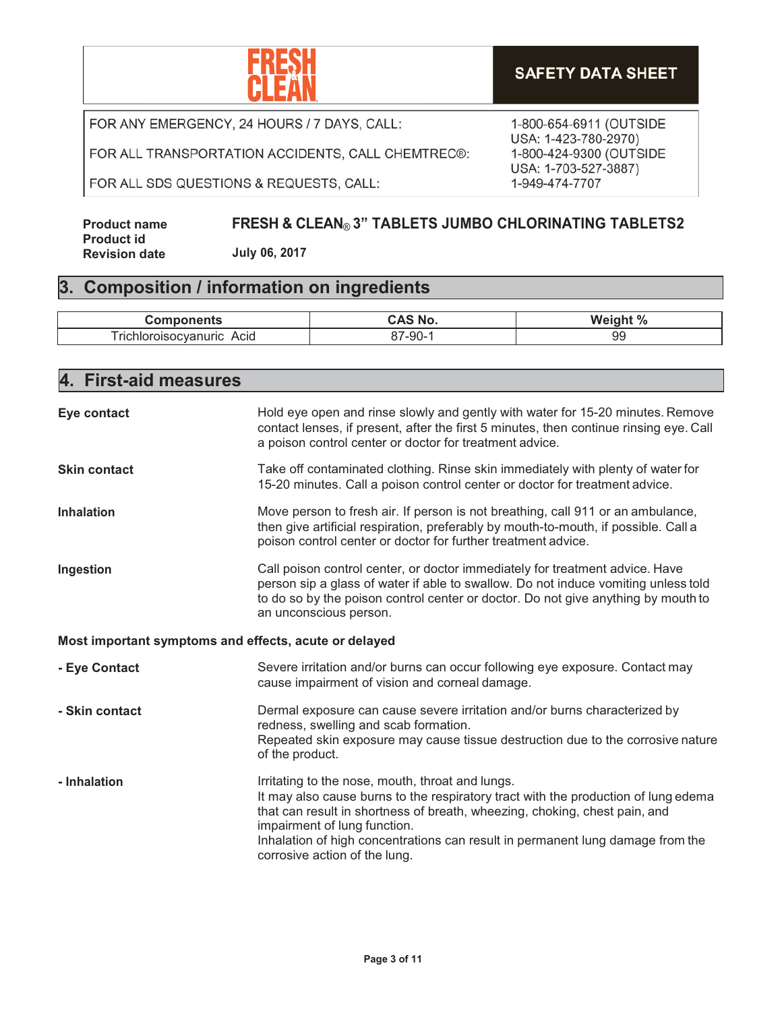

FOR ALL TRANSPORTATION ACCIDENTS, CALL CHEMTREC®:

FOR ALL SDS QUESTIONS & REQUESTS, CALL:

1-800-654-6911 (OUTSIDE USA: 1-423-780-2970) 1-800-424-9300 (OUTSIDE USA: 1-703-527-3887) 1-949-474-7707

**Product name Product id Revision date FRESH & CLEAN**® **3" TABLETS JUMBO CHLORINATING TABLETS2 July 06, 2017**

#### **3. Composition / information on ingredients**

| <b>CONTRACTOR</b><br>---<br>nents                     | MI 4  | . 07<br>W<br>70 |
|-------------------------------------------------------|-------|-----------------|
| - -<br>Acid<br>richior.<br>$- - - -$<br>nuric<br>ncva | --90- | 99              |

| 4. First-aid measures                                 |                                                                                                                                                                                                                                                                                                                                                                         |  |  |
|-------------------------------------------------------|-------------------------------------------------------------------------------------------------------------------------------------------------------------------------------------------------------------------------------------------------------------------------------------------------------------------------------------------------------------------------|--|--|
| Eye contact                                           | Hold eye open and rinse slowly and gently with water for 15-20 minutes. Remove<br>contact lenses, if present, after the first 5 minutes, then continue rinsing eye. Call<br>a poison control center or doctor for treatment advice.                                                                                                                                     |  |  |
| <b>Skin contact</b>                                   | Take off contaminated clothing. Rinse skin immediately with plenty of water for<br>15-20 minutes. Call a poison control center or doctor for treatment advice.                                                                                                                                                                                                          |  |  |
| <b>Inhalation</b>                                     | Move person to fresh air. If person is not breathing, call 911 or an ambulance,<br>then give artificial respiration, preferably by mouth-to-mouth, if possible. Call a<br>poison control center or doctor for further treatment advice.                                                                                                                                 |  |  |
| Ingestion                                             | Call poison control center, or doctor immediately for treatment advice. Have<br>person sip a glass of water if able to swallow. Do not induce vomiting unless told<br>to do so by the poison control center or doctor. Do not give anything by mouth to<br>an unconscious person.                                                                                       |  |  |
| Most important symptoms and effects, acute or delayed |                                                                                                                                                                                                                                                                                                                                                                         |  |  |
| - Eye Contact                                         | Severe irritation and/or burns can occur following eye exposure. Contact may<br>cause impairment of vision and corneal damage.                                                                                                                                                                                                                                          |  |  |
| - Skin contact                                        | Dermal exposure can cause severe irritation and/or burns characterized by<br>redness, swelling and scab formation.<br>Repeated skin exposure may cause tissue destruction due to the corrosive nature<br>of the product.                                                                                                                                                |  |  |
| - Inhalation                                          | Irritating to the nose, mouth, throat and lungs.<br>It may also cause burns to the respiratory tract with the production of lung edema<br>that can result in shortness of breath, wheezing, choking, chest pain, and<br>impairment of lung function.<br>Inhalation of high concentrations can result in permanent lung damage from the<br>corrosive action of the lung. |  |  |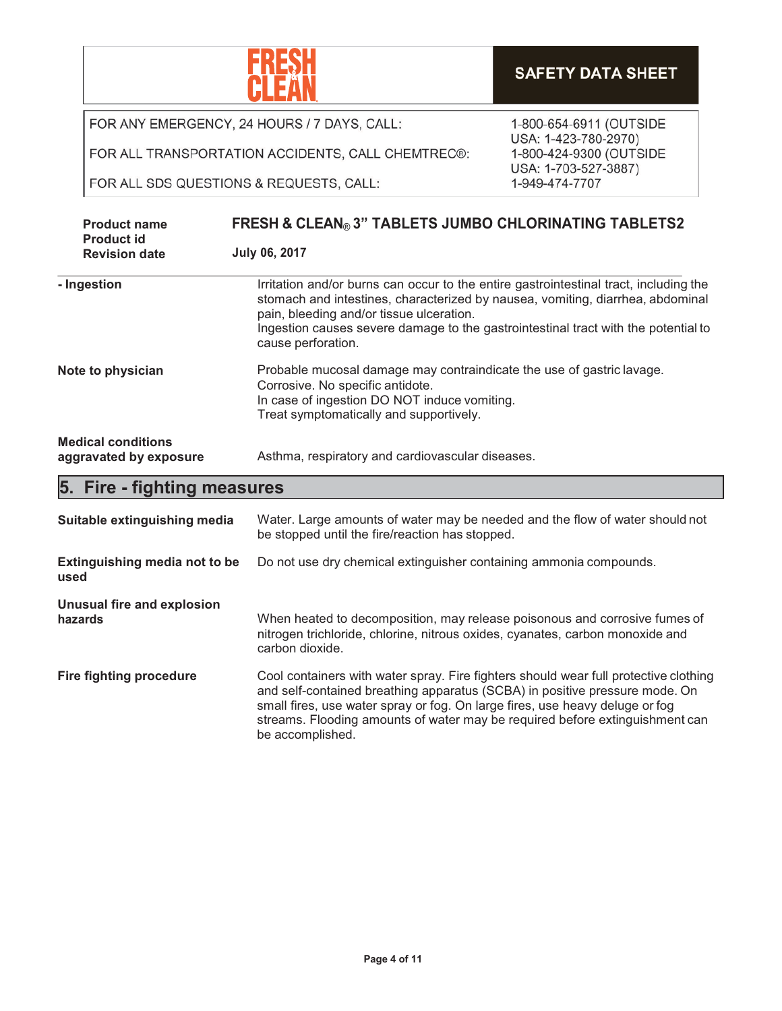|                                |                                                     |                                                                                                                                                                                                                                                                                                                                                         | <b>SAFETY DATA SHEET</b>                                                |  |
|--------------------------------|-----------------------------------------------------|---------------------------------------------------------------------------------------------------------------------------------------------------------------------------------------------------------------------------------------------------------------------------------------------------------------------------------------------------------|-------------------------------------------------------------------------|--|
|                                |                                                     | FOR ANY EMERGENCY, 24 HOURS / 7 DAYS, CALL:                                                                                                                                                                                                                                                                                                             | 1-800-654-6911 (OUTSIDE                                                 |  |
|                                |                                                     | FOR ALL TRANSPORTATION ACCIDENTS, CALL CHEMTREC®:                                                                                                                                                                                                                                                                                                       | USA: 1-423-780-2970)<br>1-800-424-9300 (OUTSIDE<br>USA: 1-703-527-3887) |  |
|                                | FOR ALL SDS QUESTIONS & REQUESTS, CALL:             |                                                                                                                                                                                                                                                                                                                                                         | 1-949-474-7707                                                          |  |
|                                | <b>Product name</b><br><b>Product id</b>            | <b>FRESH &amp; CLEAN® 3" TABLETS JUMBO CHLORINATING TABLETS2</b>                                                                                                                                                                                                                                                                                        |                                                                         |  |
|                                | <b>Revision date</b>                                | <b>July 06, 2017</b>                                                                                                                                                                                                                                                                                                                                    |                                                                         |  |
|                                | - Ingestion                                         | Irritation and/or burns can occur to the entire gastrointestinal tract, including the<br>stomach and intestines, characterized by nausea, vomiting, diarrhea, abdominal<br>pain, bleeding and/or tissue ulceration.<br>Ingestion causes severe damage to the gastrointestinal tract with the potential to<br>cause perforation.                         |                                                                         |  |
| Note to physician              |                                                     | Probable mucosal damage may contraindicate the use of gastric lavage.<br>Corrosive. No specific antidote.<br>In case of ingestion DO NOT induce vomiting.<br>Treat symptomatically and supportively.                                                                                                                                                    |                                                                         |  |
|                                | <b>Medical conditions</b><br>aggravated by exposure | Asthma, respiratory and cardiovascular diseases.                                                                                                                                                                                                                                                                                                        |                                                                         |  |
|                                | 5. Fire - fighting measures                         |                                                                                                                                                                                                                                                                                                                                                         |                                                                         |  |
|                                | Suitable extinguishing media                        | Water. Large amounts of water may be needed and the flow of water should not<br>be stopped until the fire/reaction has stopped.                                                                                                                                                                                                                         |                                                                         |  |
| used                           | <b>Extinguishing media not to be</b>                | Do not use dry chemical extinguisher containing ammonia compounds.                                                                                                                                                                                                                                                                                      |                                                                         |  |
|                                | <b>Unusual fire and explosion</b><br>hazards        | When heated to decomposition, may release poisonous and corrosive fumes of<br>nitrogen trichloride, chlorine, nitrous oxides, cyanates, carbon monoxide and<br>carbon dioxide.                                                                                                                                                                          |                                                                         |  |
| <b>Fire fighting procedure</b> |                                                     | Cool containers with water spray. Fire fighters should wear full protective clothing<br>and self-contained breathing apparatus (SCBA) in positive pressure mode. On<br>small fires, use water spray or fog. On large fires, use heavy deluge or fog<br>streams. Flooding amounts of water may be required before extinguishment can<br>be accomplished. |                                                                         |  |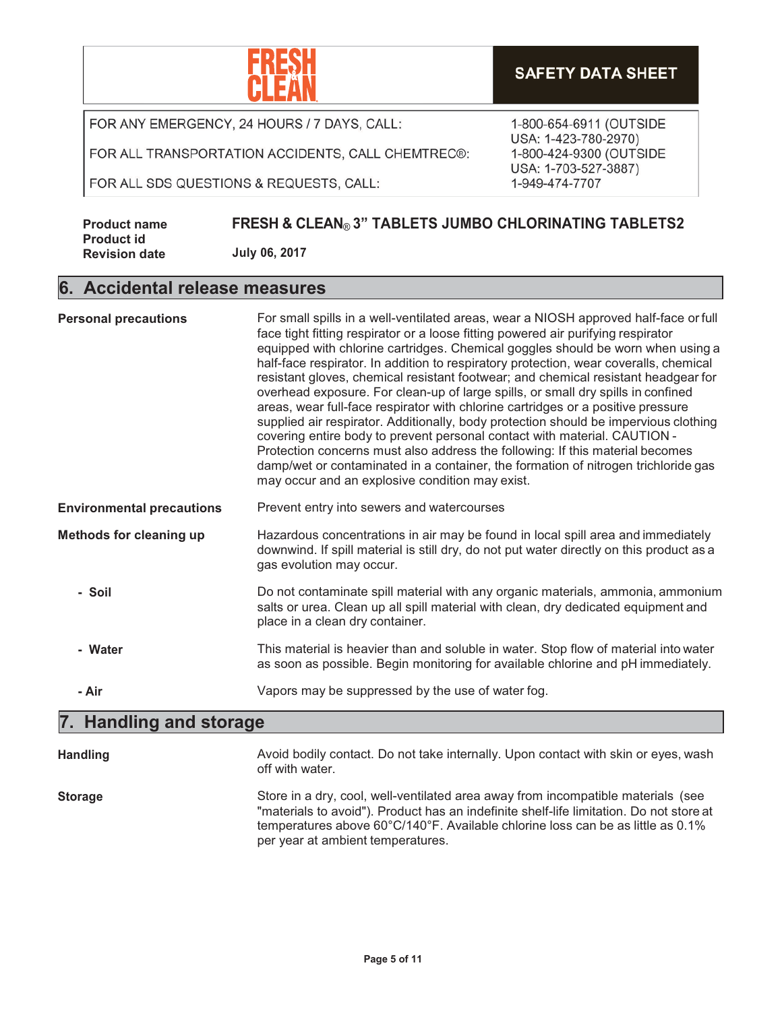

#### **SAFETY DATA SHEET**

FOR ANY EMERGENCY, 24 HOURS / 7 DAYS, CALL:

FOR ALL TRANSPORTATION ACCIDENTS, CALL CHEMTREC®:

FOR ALL SDS QUESTIONS & REQUESTS, CALL:

1-800-654-6911 (OUTSIDE USA: 1-423-780-2970) 1-800-424-9300 (OUTSIDE USA: 1-703-527-3887) 1-949-474-7707

**Product name Product id Revision date FRESH & CLEAN**® **3" TABLETS JUMBO CHLORINATING TABLETS2 July 06, 2017**

#### **6. Accidental release measures**

| <b>Personal precautions</b>      | For small spills in a well-ventilated areas, wear a NIOSH approved half-face or full<br>face tight fitting respirator or a loose fitting powered air purifying respirator<br>equipped with chlorine cartridges. Chemical goggles should be worn when using a<br>half-face respirator. In addition to respiratory protection, wear coveralls, chemical<br>resistant gloves, chemical resistant footwear; and chemical resistant headgear for<br>overhead exposure. For clean-up of large spills, or small dry spills in confined<br>areas, wear full-face respirator with chlorine cartridges or a positive pressure<br>supplied air respirator. Additionally, body protection should be impervious clothing<br>covering entire body to prevent personal contact with material. CAUTION -<br>Protection concerns must also address the following: If this material becomes<br>damp/wet or contaminated in a container, the formation of nitrogen trichloride gas<br>may occur and an explosive condition may exist. |
|----------------------------------|--------------------------------------------------------------------------------------------------------------------------------------------------------------------------------------------------------------------------------------------------------------------------------------------------------------------------------------------------------------------------------------------------------------------------------------------------------------------------------------------------------------------------------------------------------------------------------------------------------------------------------------------------------------------------------------------------------------------------------------------------------------------------------------------------------------------------------------------------------------------------------------------------------------------------------------------------------------------------------------------------------------------|
| <b>Environmental precautions</b> | Prevent entry into sewers and watercourses                                                                                                                                                                                                                                                                                                                                                                                                                                                                                                                                                                                                                                                                                                                                                                                                                                                                                                                                                                         |
| <b>Methods for cleaning up</b>   | Hazardous concentrations in air may be found in local spill area and immediately<br>downwind. If spill material is still dry, do not put water directly on this product as a<br>gas evolution may occur.                                                                                                                                                                                                                                                                                                                                                                                                                                                                                                                                                                                                                                                                                                                                                                                                           |
| - Soil                           | Do not contaminate spill material with any organic materials, ammonia, ammonium<br>salts or urea. Clean up all spill material with clean, dry dedicated equipment and<br>place in a clean dry container.                                                                                                                                                                                                                                                                                                                                                                                                                                                                                                                                                                                                                                                                                                                                                                                                           |
| - Water                          | This material is heavier than and soluble in water. Stop flow of material into water<br>as soon as possible. Begin monitoring for available chlorine and pH immediately.                                                                                                                                                                                                                                                                                                                                                                                                                                                                                                                                                                                                                                                                                                                                                                                                                                           |
| - Air                            | Vapors may be suppressed by the use of water fog.                                                                                                                                                                                                                                                                                                                                                                                                                                                                                                                                                                                                                                                                                                                                                                                                                                                                                                                                                                  |

## **7. Handling and storage**

| <b>Handling</b> | Avoid bodily contact. Do not take internally. Upon contact with skin or eyes, wash<br>off with water.                                                                                                                                                                                               |
|-----------------|-----------------------------------------------------------------------------------------------------------------------------------------------------------------------------------------------------------------------------------------------------------------------------------------------------|
| <b>Storage</b>  | Store in a dry, cool, well-ventilated area away from incompatible materials (see<br>"materials to avoid"). Product has an indefinite shelf-life limitation. Do not store at<br>temperatures above 60°C/140°F. Available chlorine loss can be as little as 0.1%<br>per year at ambient temperatures. |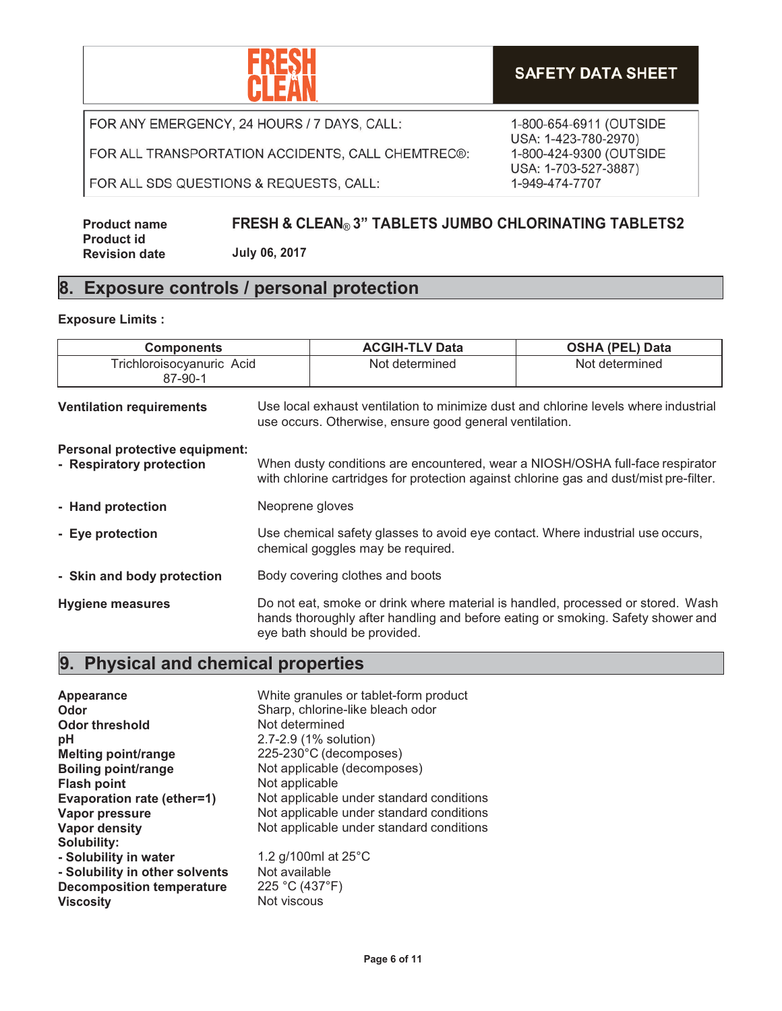

FOR ALL TRANSPORTATION ACCIDENTS, CALL CHEMTREC®:

FOR ALL SDS QUESTIONS & REQUESTS, CALL:

1-800-654-6911 (OUTSIDE USA: 1-423-780-2970) 1-800-424-9300 (OUTSIDE USA: 1-703-527-3887) 1-949-474-7707

#### **Product name Product id Revision date FRESH & CLEAN**® **3" TABLETS JUMBO CHLORINATING TABLETS2 July 06, 2017**

#### **8. Exposure controls / personal protection**

#### **Exposure Limits :**

| <b>Components</b>                                          |                                 | <b>ACGIH-TLV Data</b>                                                                                                                                                                              | <b>OSHA (PEL) Data</b> |
|------------------------------------------------------------|---------------------------------|----------------------------------------------------------------------------------------------------------------------------------------------------------------------------------------------------|------------------------|
| Trichloroisocyanuric Acid<br>87-90-1                       |                                 | Not determined                                                                                                                                                                                     | Not determined         |
| <b>Ventilation requirements</b>                            |                                 | Use local exhaust ventilation to minimize dust and chlorine levels where industrial<br>use occurs. Otherwise, ensure good general ventilation.                                                     |                        |
| Personal protective equipment:<br>- Respiratory protection |                                 | When dusty conditions are encountered, wear a NIOSH/OSHA full-face respirator<br>with chlorine cartridges for protection against chlorine gas and dust/mist pre-filter.                            |                        |
| - Hand protection                                          | Neoprene gloves                 |                                                                                                                                                                                                    |                        |
| - Eye protection                                           |                                 | Use chemical safety glasses to avoid eye contact. Where industrial use occurs,<br>chemical goggles may be required.                                                                                |                        |
| - Skin and body protection                                 | Body covering clothes and boots |                                                                                                                                                                                                    |                        |
| <b>Hygiene measures</b>                                    |                                 | Do not eat, smoke or drink where material is handled, processed or stored. Wash<br>hands thoroughly after handling and before eating or smoking. Safety shower and<br>eye bath should be provided. |                        |

### **9. Physical and chemical properties**

| Appearance<br>Odor               | White granules or tablet-form product<br>Sharp, chlorine-like bleach odor |
|----------------------------------|---------------------------------------------------------------------------|
| Odor threshold                   | Not determined                                                            |
| рH                               | 2.7-2.9 (1% solution)                                                     |
| <b>Melting point/range</b>       | 225-230°C (decomposes)                                                    |
| <b>Boiling point/range</b>       | Not applicable (decomposes)                                               |
| <b>Flash point</b>               | Not applicable                                                            |
| Evaporation rate (ether=1)       | Not applicable under standard conditions                                  |
| Vapor pressure                   | Not applicable under standard conditions                                  |
| <b>Vapor density</b>             | Not applicable under standard conditions                                  |
| Solubility:                      |                                                                           |
| - Solubility in water            | 1.2 g/100ml at $25^{\circ}$ C                                             |
| - Solubility in other solvents   | Not available                                                             |
| <b>Decomposition temperature</b> | 225 °C (437°F)                                                            |
| <b>Viscosity</b>                 | Not viscous                                                               |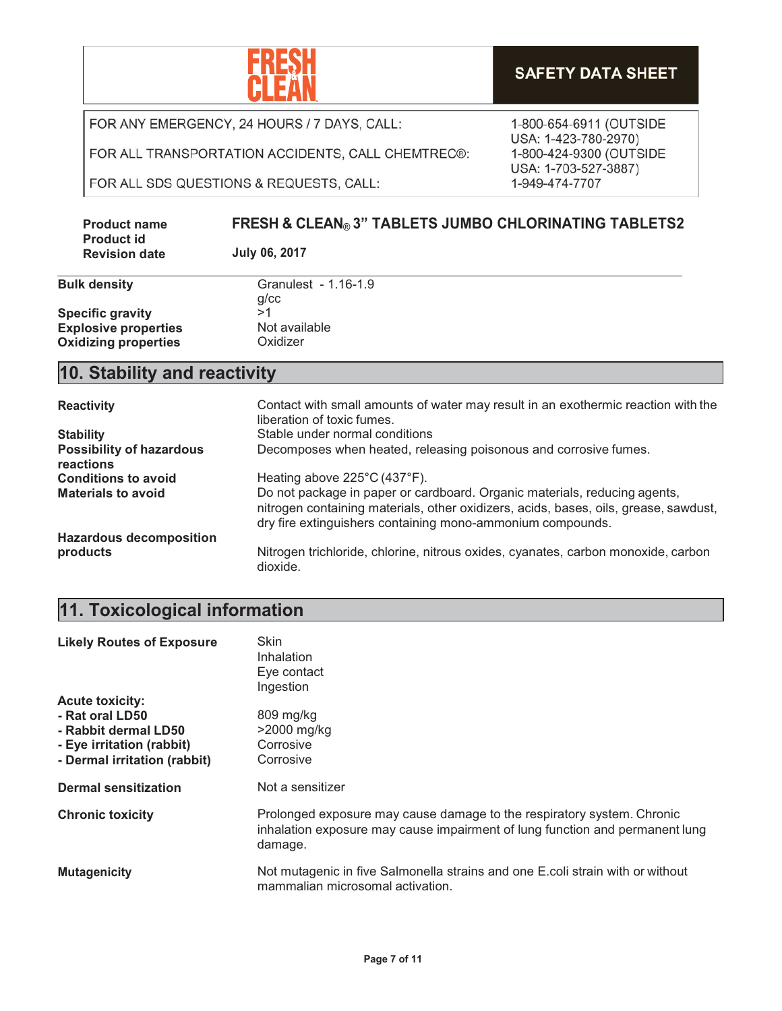

FOR ALL TRANSPORTATION ACCIDENTS, CALL CHEMTREC®:

FOR ALL SDS QUESTIONS & REQUESTS, CALL:

| <b>Product name</b>                       | <b>FRESH &amp; CLEAN® 3" TABLETS JUMBO CHLORINATING TABLETS2</b> |
|-------------------------------------------|------------------------------------------------------------------|
| <b>Product id</b><br><b>Revision date</b> | July 06, 2017                                                    |

| <b>Bulk density</b>         | Granulest - 1.16-1.9 |
|-----------------------------|----------------------|
|                             | $q$ / $cc$           |
| <b>Specific gravity</b>     | >1                   |
| <b>Explosive properties</b> | Not available        |
| <b>Oxidizing properties</b> | Oxidizer             |

#### **10. Stability and reactivity**

| <b>Reactivity</b>                            | Contact with small amounts of water may result in an exothermic reaction with the<br>liberation of toxic fumes.                                                                                                                 |
|----------------------------------------------|---------------------------------------------------------------------------------------------------------------------------------------------------------------------------------------------------------------------------------|
| <b>Stability</b>                             | Stable under normal conditions                                                                                                                                                                                                  |
| <b>Possibility of hazardous</b><br>reactions | Decomposes when heated, releasing poisonous and corrosive fumes.                                                                                                                                                                |
| <b>Conditions to avoid</b>                   | Heating above 225°C (437°F).                                                                                                                                                                                                    |
| <b>Materials to avoid</b>                    | Do not package in paper or cardboard. Organic materials, reducing agents,<br>nitrogen containing materials, other oxidizers, acids, bases, oils, grease, sawdust,<br>dry fire extinguishers containing mono-ammonium compounds. |
| <b>Hazardous decomposition</b>               |                                                                                                                                                                                                                                 |
| products                                     | Nitrogen trichloride, chlorine, nitrous oxides, cyanates, carbon monoxide, carbon<br>dioxide.                                                                                                                                   |

## **11. Toxicological information**

| <b>Likely Routes of Exposure</b> | Skin<br><b>Inhalation</b><br>Eye contact<br>Ingestion                                                                                                             |
|----------------------------------|-------------------------------------------------------------------------------------------------------------------------------------------------------------------|
| <b>Acute toxicity:</b>           |                                                                                                                                                                   |
| - Rat oral LD50                  | 809 mg/kg                                                                                                                                                         |
| - Rabbit dermal LD50             | $>2000$ mg/kg                                                                                                                                                     |
| - Eye irritation (rabbit)        | Corrosive                                                                                                                                                         |
| - Dermal irritation (rabbit)     | Corrosive                                                                                                                                                         |
| <b>Dermal sensitization</b>      | Not a sensitizer                                                                                                                                                  |
| <b>Chronic toxicity</b>          | Prolonged exposure may cause damage to the respiratory system. Chronic<br>inhalation exposure may cause impairment of lung function and permanent lung<br>damage. |
| <b>Mutagenicity</b>              | Not mutagenic in five Salmonella strains and one E.coli strain with or without<br>mammalian microsomal activation.                                                |

1-800-654-6911 (OUTSIDE USA: 1-423-780-2970) 1-800-424-9300 (OUTSIDE USA: 1-703-527-3887) 1-949-474-7707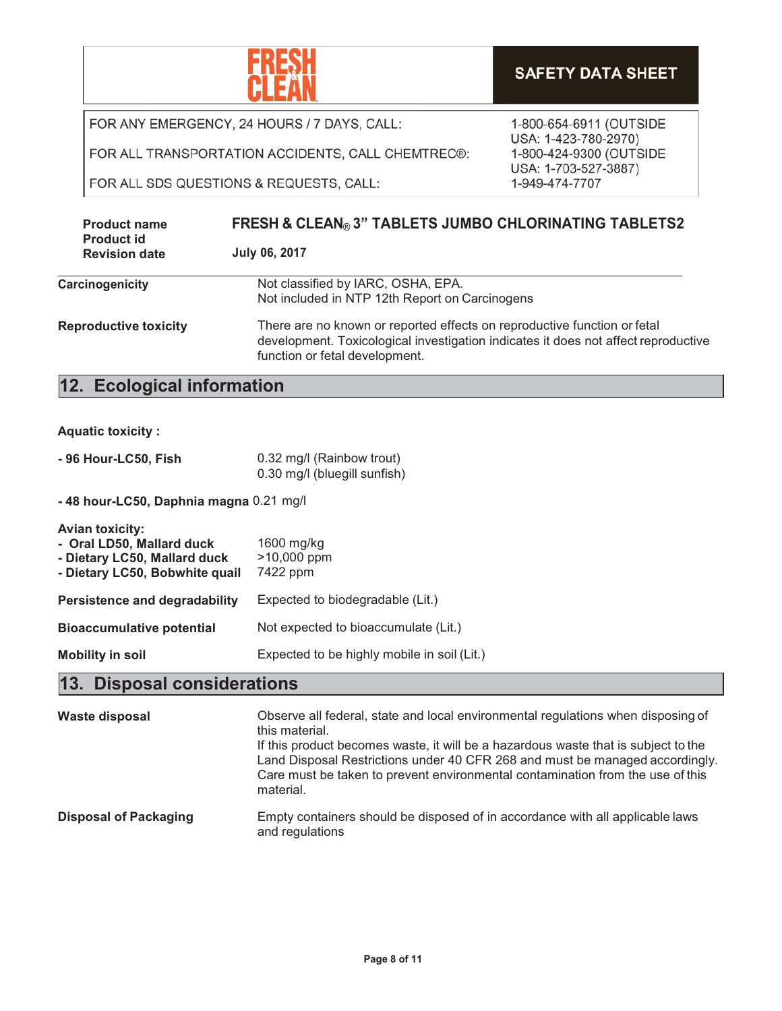

FOR ALL TRANSPORTATION ACCIDENTS, CALL CHEMTREC®:

FOR ALL SDS QUESTIONS & REQUESTS, CALL:

**Carcinogenicity** Not classified by IARC, OSHA, EPA. Not included in NTP 12th Report on Carcinogens **Reproductive toxicity** There are no known or reported effects on reproductive function or fetal development. Toxicological investigation indicates it does not affect reproductive function or fetal development. **Product name Product id Revision date FRESH & CLEAN**® **3" TABLETS JUMBO CHLORINATING TABLETS2 July 06, 2017**

#### **12. Ecological information**

| <b>Aquatic toxicity:</b> |  |  |  |
|--------------------------|--|--|--|
|                          |  |  |  |

| - 96 Hour-LC50, Fish | 0.32 mg/l (Rainbow trout)    |
|----------------------|------------------------------|
|                      | 0.30 mg/l (bluegill sunfish) |

**- 48 hour-LC50, Daphnia magna** 0.21 mg/l

| Avian toxicity:<br>- Oral LD50, Mallard duck<br>- Dietary LC50, Mallard duck<br>- Dietary LC50, Bobwhite quail | 1600 mg/kg<br>>10,000 ppm<br>7422 ppm       |
|----------------------------------------------------------------------------------------------------------------|---------------------------------------------|
| <b>Persistence and degradability</b>                                                                           | Expected to biodegradable (Lit.)            |
| <b>Bioaccumulative potential</b>                                                                               | Not expected to bioaccumulate (Lit.)        |
| <b>Mobility in soil</b>                                                                                        | Expected to be highly mobile in soil (Lit.) |

#### **13. Disposal considerations**

| Waste disposal               | Observe all federal, state and local environmental regulations when disposing of<br>this material.<br>If this product becomes waste, it will be a hazardous waste that is subject to the<br>Land Disposal Restrictions under 40 CFR 268 and must be managed accordingly.<br>Care must be taken to prevent environmental contamination from the use of this<br>material. |
|------------------------------|-------------------------------------------------------------------------------------------------------------------------------------------------------------------------------------------------------------------------------------------------------------------------------------------------------------------------------------------------------------------------|
| <b>Disposal of Packaging</b> | Empty containers should be disposed of in accordance with all applicable laws<br>and regulations                                                                                                                                                                                                                                                                        |

1-800-654-6911 (OUTSIDE USA: 1-423-780-2970) 1-800-424-9300 (OUTSIDE USA: 1-703-527-3887) 1-949-474-7707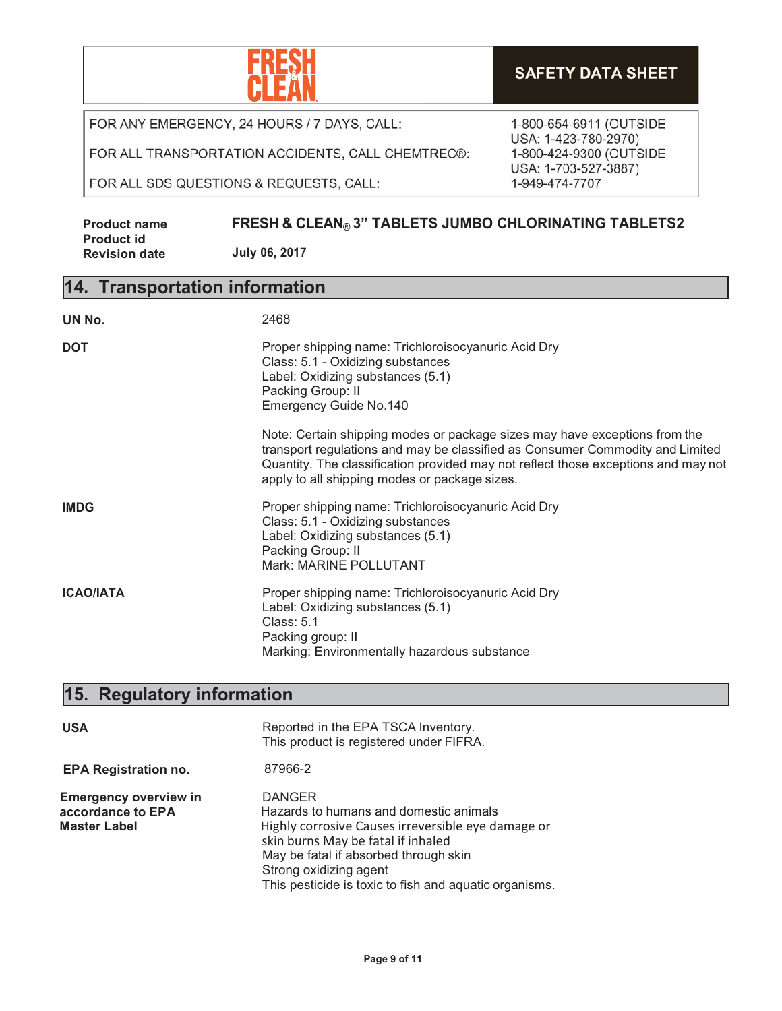

FOR ALL TRANSPORTATION ACCIDENTS, CALL CHEMTREC®:

FOR ALL SDS QUESTIONS & REQUESTS, CALL:

1-800-654-6911 (OUTSIDE USA: 1-423-780-2970) 1-800-424-9300 (OUTSIDE USA: 1-703-527-3887) 1-949-474-7707

| <b>Product name</b>  | <b>FRESH &amp; CLEAN® 3" TABLETS JUMBO CHLORINATING TABLETS2</b> |
|----------------------|------------------------------------------------------------------|
| <b>Product id</b>    |                                                                  |
| <b>Revision date</b> | July 06, 2017                                                    |

## **14. Transportation information**

| UN No.           | 2468                                                                                                                                                                                                                                                                                               |
|------------------|----------------------------------------------------------------------------------------------------------------------------------------------------------------------------------------------------------------------------------------------------------------------------------------------------|
| <b>DOT</b>       | Proper shipping name: Trichloroisocyanuric Acid Dry<br>Class: 5.1 - Oxidizing substances<br>Label: Oxidizing substances (5.1)<br>Packing Group: II<br><b>Emergency Guide No.140</b>                                                                                                                |
|                  | Note: Certain shipping modes or package sizes may have exceptions from the<br>transport regulations and may be classified as Consumer Commodity and Limited<br>Quantity. The classification provided may not reflect those exceptions and may not<br>apply to all shipping modes or package sizes. |
| <b>IMDG</b>      | Proper shipping name: Trichloroisocyanuric Acid Dry<br>Class: 5.1 - Oxidizing substances<br>Label: Oxidizing substances (5.1)<br>Packing Group: II<br>Mark: MARINE POLLUTANT                                                                                                                       |
| <b>ICAO/IATA</b> | Proper shipping name: Trichloroisocyanuric Acid Dry<br>Label: Oxidizing substances (5.1)<br>Class: 5.1<br>Packing group: II<br>Marking: Environmentally hazardous substance                                                                                                                        |

# **15. Regulatory information**

| <b>USA</b>                                                               | Reported in the EPA TSCA Inventory.<br>This product is registered under FIFRA.                                                                                                                                                                                                   |
|--------------------------------------------------------------------------|----------------------------------------------------------------------------------------------------------------------------------------------------------------------------------------------------------------------------------------------------------------------------------|
| <b>EPA Registration no.</b>                                              | 87966-2                                                                                                                                                                                                                                                                          |
| <b>Emergency overview in</b><br>accordance to EPA<br><b>Master Label</b> | <b>DANGER</b><br>Hazards to humans and domestic animals<br>Highly corrosive Causes irreversible eye damage or<br>skin burns May be fatal if inhaled<br>May be fatal if absorbed through skin<br>Strong oxidizing agent<br>This pesticide is toxic to fish and aquatic organisms. |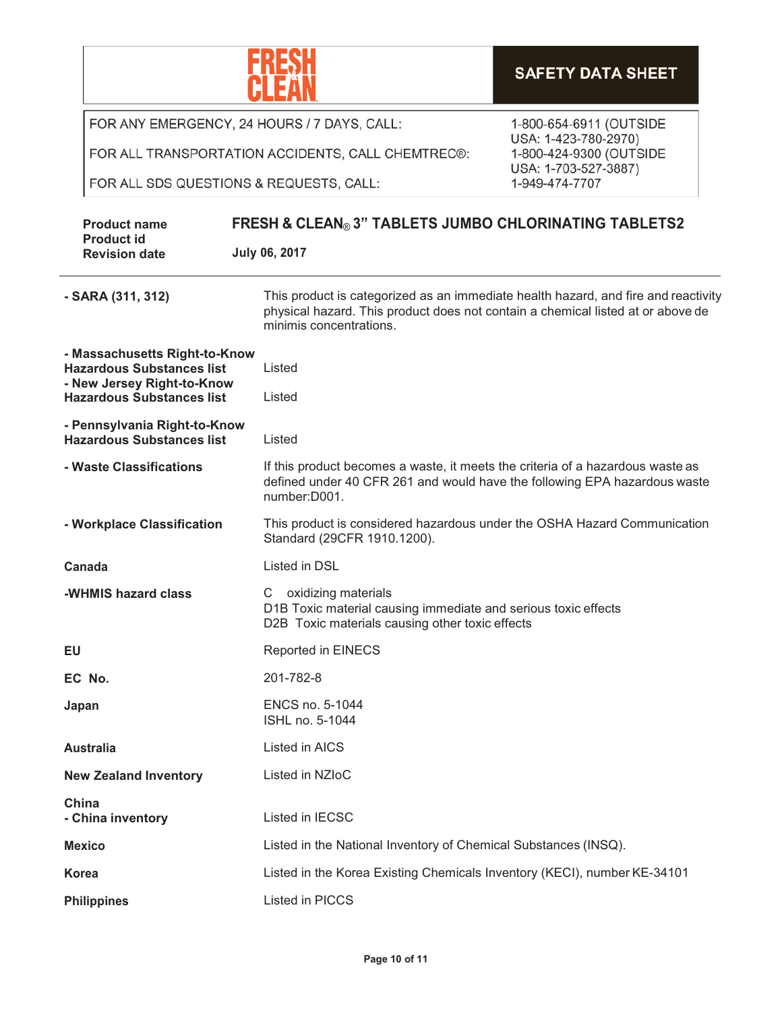|                                                                                                                                                                                                         |                                                                                                                                                                                                  | <b>SAFETY DATA SHEET</b>                        |  |
|---------------------------------------------------------------------------------------------------------------------------------------------------------------------------------------------------------|--------------------------------------------------------------------------------------------------------------------------------------------------------------------------------------------------|-------------------------------------------------|--|
| FOR ANY EMERGENCY, 24 HOURS / 7 DAYS, CALL:                                                                                                                                                             |                                                                                                                                                                                                  | 1-800-654-6911 (OUTSIDE                         |  |
|                                                                                                                                                                                                         | FOR ALL TRANSPORTATION ACCIDENTS, CALL CHEMTREC®:                                                                                                                                                | USA: 1-423-780-2970)<br>1-800-424-9300 (OUTSIDE |  |
| FOR ALL SDS QUESTIONS & REQUESTS, CALL:                                                                                                                                                                 |                                                                                                                                                                                                  | USA: 1-703-527-3887)<br>1-949-474-7707          |  |
| <b>Product name</b><br><b>Product id</b>                                                                                                                                                                | <b>FRESH &amp; CLEAN® 3" TABLETS JUMBO CHLORINATING TABLETS2</b><br>July 06, 2017                                                                                                                |                                                 |  |
| <b>Revision date</b>                                                                                                                                                                                    |                                                                                                                                                                                                  |                                                 |  |
| - SARA (311, 312)                                                                                                                                                                                       | This product is categorized as an immediate health hazard, and fire and reactivity<br>physical hazard. This product does not contain a chemical listed at or above de<br>minimis concentrations. |                                                 |  |
| - Massachusetts Right-to-Know<br><b>Hazardous Substances list</b>                                                                                                                                       | Listed                                                                                                                                                                                           |                                                 |  |
| - New Jersey Right-to-Know<br><b>Hazardous Substances list</b>                                                                                                                                          | Listed                                                                                                                                                                                           |                                                 |  |
| - Pennsylvania Right-to-Know<br><b>Hazardous Substances list</b>                                                                                                                                        | Listed                                                                                                                                                                                           |                                                 |  |
| If this product becomes a waste, it meets the criteria of a hazardous waste as<br>- Waste Classifications<br>defined under 40 CFR 261 and would have the following EPA hazardous waste<br>number: D001. |                                                                                                                                                                                                  |                                                 |  |
| - Workplace Classification                                                                                                                                                                              | This product is considered hazardous under the OSHA Hazard Communication<br>Standard (29CFR 1910.1200).                                                                                          |                                                 |  |
| Canada                                                                                                                                                                                                  | <b>Listed in DSL</b>                                                                                                                                                                             |                                                 |  |
| oxidizing materials<br>-WHMIS hazard class<br>C<br>D1B Toxic material causing immediate and serious toxic effects<br>D2B Toxic materials causing other toxic effects                                    |                                                                                                                                                                                                  |                                                 |  |
| EU                                                                                                                                                                                                      | Reported in EINECS                                                                                                                                                                               |                                                 |  |
| EC No.                                                                                                                                                                                                  | 201-782-8                                                                                                                                                                                        |                                                 |  |
| ENCS no. 5-1044<br>Japan<br>ISHL no. 5-1044                                                                                                                                                             |                                                                                                                                                                                                  |                                                 |  |
| <b>Australia</b>                                                                                                                                                                                        | Listed in AICS                                                                                                                                                                                   |                                                 |  |
| <b>New Zealand Inventory</b>                                                                                                                                                                            | Listed in NZIoC                                                                                                                                                                                  |                                                 |  |
| China<br>- China inventory                                                                                                                                                                              | Listed in IECSC                                                                                                                                                                                  |                                                 |  |
| <b>Mexico</b>                                                                                                                                                                                           | Listed in the National Inventory of Chemical Substances (INSQ).                                                                                                                                  |                                                 |  |
| <b>Korea</b>                                                                                                                                                                                            | Listed in the Korea Existing Chemicals Inventory (KECI), number KE-34101                                                                                                                         |                                                 |  |
| <b>Philippines</b>                                                                                                                                                                                      | Listed in PICCS                                                                                                                                                                                  |                                                 |  |

 $\mathsf{r}$